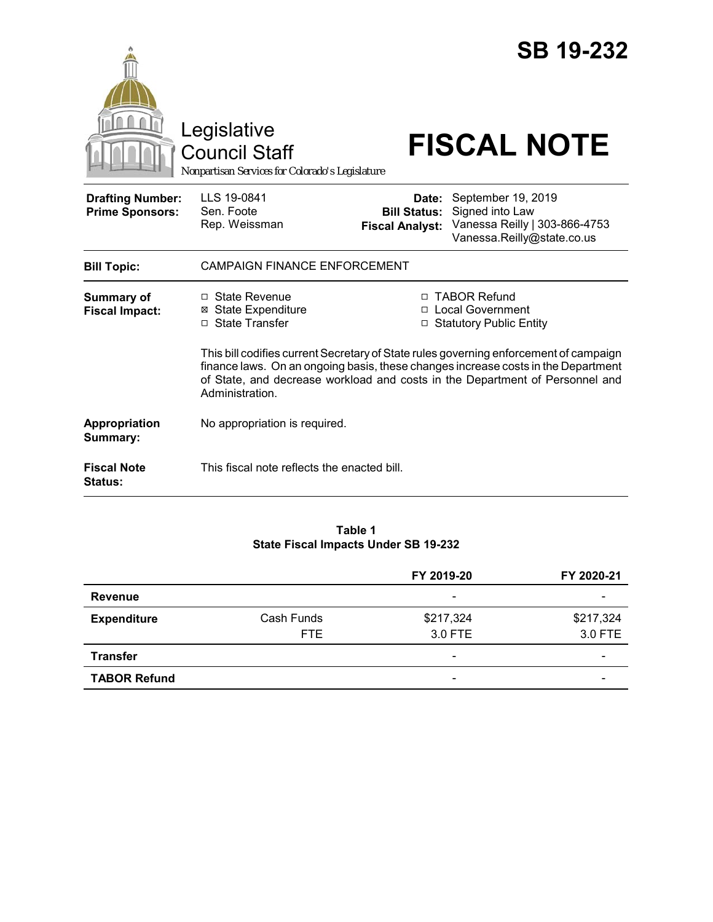|                                                   |                                                                                                                                                                                                                                                                               |                                                                                                 | <b>SB 19-232</b>                                                                                     |  |
|---------------------------------------------------|-------------------------------------------------------------------------------------------------------------------------------------------------------------------------------------------------------------------------------------------------------------------------------|-------------------------------------------------------------------------------------------------|------------------------------------------------------------------------------------------------------|--|
|                                                   | Legislative<br>Council Staff<br>Nonpartisan Services for Colorado's Legislature                                                                                                                                                                                               |                                                                                                 | <b>FISCAL NOTE</b>                                                                                   |  |
| <b>Drafting Number:</b><br><b>Prime Sponsors:</b> | LLS 19-0841<br>Sen. Foote<br>Rep. Weissman                                                                                                                                                                                                                                    | Date:<br><b>Bill Status:</b><br><b>Fiscal Analyst:</b>                                          | September 19, 2019<br>Signed into Law<br>Vanessa Reilly   303-866-4753<br>Vanessa.Reilly@state.co.us |  |
| <b>Bill Topic:</b>                                | <b>CAMPAIGN FINANCE ENFORCEMENT</b>                                                                                                                                                                                                                                           |                                                                                                 |                                                                                                      |  |
| <b>Summary of</b><br><b>Fiscal Impact:</b>        | $\Box$ State Revenue<br><b>⊠</b> State Expenditure<br>$\Box$ State Transfer                                                                                                                                                                                                   | □ TABOR Refund<br><b>Local Government</b><br>$\Box$<br><b>Statutory Public Entity</b><br>$\Box$ |                                                                                                      |  |
|                                                   | This bill codifies current Secretary of State rules governing enforcement of campaign<br>finance laws. On an ongoing basis, these changes increase costs in the Department<br>of State, and decrease workload and costs in the Department of Personnel and<br>Administration. |                                                                                                 |                                                                                                      |  |
| Appropriation<br>Summary:                         | No appropriation is required.                                                                                                                                                                                                                                                 |                                                                                                 |                                                                                                      |  |
| <b>Fiscal Note</b><br><b>Status:</b>              | This fiscal note reflects the enacted bill.                                                                                                                                                                                                                                   |                                                                                                 |                                                                                                      |  |

#### **Table 1 State Fiscal Impacts Under SB 19-232**

|                     |                    | FY 2019-20                   | FY 2020-21               |
|---------------------|--------------------|------------------------------|--------------------------|
| Revenue             |                    | $\overline{\phantom{a}}$     |                          |
| <b>Expenditure</b>  | Cash Funds<br>FTE. | \$217,324<br>3.0 FTE         | \$217,324<br>3.0 FTE     |
| <b>Transfer</b>     |                    | $\qquad \qquad \blacksquare$ | $\overline{\phantom{0}}$ |
| <b>TABOR Refund</b> |                    | $\overline{\phantom{a}}$     |                          |